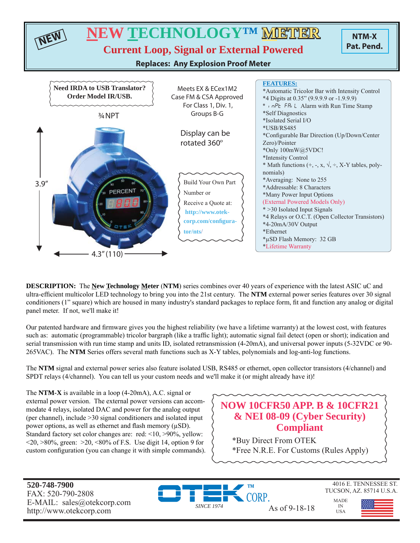

**DESCRIPTION:** The **New Technology Meter** (**NTM**) series combines over 40 years of experience with the latest ASIC uC and ultra-efficient multicolor LED technology to bring you into the 21st century. The NTM external power series features over 30 signal conditioners (1" square) which are housed in many industry's standard packages to replace form, fi t and function any analog or digital panel meter. If not, we'll make it!

Our patented hardware and firmware gives you the highest reliability (we have a lifetime warranty) at the lowest cost, with features such as: automatic (programmable) tricolor bargraph (like a traffic light); automatic signal fail detect (open or short); indication and serial transmission with run time stamp and units ID, isolated retransmission (4-20mA), and universal power inputs (5-32VDC or 90- 265VAC). The **NTM** Series offers several math functions such as X-Y tables, polynomials and log-anti-log functions.

The **NTM** signal and external power series also feature isolated USB, RS485 or ethernet, open collector transistors (4/channel) and SPDT relays (4/channel). You can tell us your custom needs and we'll make it (or might already have it)!

The **NTM-X** is available in a loop (4-20mA), A.C. signal or external power version. The external power versions can accommodate 4 relays, isolated DAC and power for the analog output (per channel), include >30 signal conditioners and isolated input power options, as well as ethernet and flash memory  $(\mu SD)$ . Standard factory set color changes are: red: <10, >90%, yellow:  $\langle 20, \rangle 80\%$ , green:  $\langle 20, \langle 80, \rangle$  of F.S. Use digit 14, option 9 for custom configuration (you can change it with simple commands).

## **NOW 10CFR50 APP. B & 10CFR21 & NEI 08-09 (Cyber Security) Compliant**

\*Buy Direct From OTEK \*Free N.R.E. For Customs (Rules Apply)

**520-748-7900** FAX: 520-790-2808 E-MAIL: sales@otekcorp.com http://www.otekcorp.com SINCE 1974 As of 9-18-18





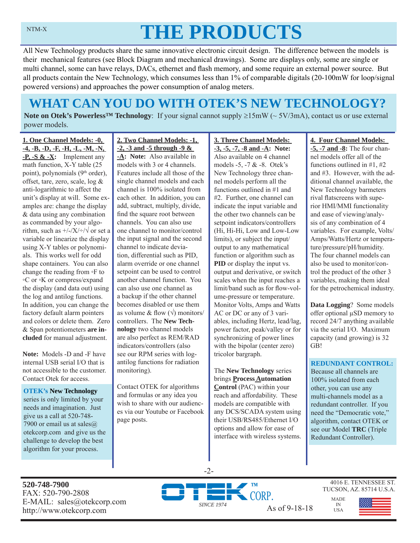# NTM-X **THE PRODUCTS**

All New Technology products share the same innovative electronic circuit design. The difference between the models is their mechanical features (see Block Diagram and mechanical drawings). Some are displays only, some are single or multi channel, some can have relays, DACs, ethernet and flash memory, and some require an external power source. But all products contain the New Technology, which consumes less than 1% of comparable digitals (20-100mW for loop/signal powered versions) and approaches the power consumption of analog meters.

## **WHAT CAN YOU DO WITH OTEK'S NEW TECHNOLOGY?**

**Note on Otek's Powerless<sup>TM</sup> Technology**: If your signal cannot supply  $\geq 15 \text{mW}$  ( $\sim 5V/3 \text{mA}$ ), contact us or use external power models.

**1. One Channel Models: -0, -4, -B, -D, -F, -H, -L, -M, -N, -P, -S & -X:** Implement any math function, X-Y table (25 point), polynomials (9<sup>th</sup> order), offset, tare, zero, scale, log & anti-logarithmic to affect the unit's display at will. Some examples are: change the display & data using any combination as commanded by your algorithm, such as  $\frac{+}{-}\times\frac{+}{\sqrt{}}$  or set a variable or linearize the display using X-Y tables or polynomials. This works well for odd shape containers. You can also change the reading from ◦F to ◦C or ◦K or compress/expand the display (and data out) using the log and antilog functions. In addition, you can change the factory default alarm pointers and colors or delete them. Zero & Span potentiometers **are included** for manual adjustment.

**Note:** Models -D and -F have internal USB serial I/O that is not accessible to the customer. Contact Otek for access.

#### **OTEK's New Technology**

series is only limited by your needs and imagination. Just give us a call at 520-748- 7900 or email us at sales $@$ otekcorp.com and give us the challenge to develop the best algorithm for your process.

## **2. Two Channel Models: -1, -2, -3 and -5 through -9 &**

**-A: Note:** Also available in models with 3 or 4 channels. Features include all those of the single channel models and each channel is 100% isolated from each other. In addition, you can add, subtract, multiply, divide, find the square root between channels. You can also use one channel to monitor/control the input signal and the second channel to indicate deviation, differential such as PID, alarm override or one channel setpoint can be used to control another channel function. You can also use one channel as a backup if the other channel becomes disabled or use them as volume & flow  $(\sqrt{})$  monitors/ controllers. The **New Technology** two channel models are also perfect as REM/RAD indicators/controllers (also see our RPM series with logantilog functions for radiation monitoring).

Contact OTEK for algorithms and formulas or any idea you wish to share with our audiences via our Youtube or Facebook page posts.

#### **-3, -5, -7, -8 and -A: Note:**  Also available on 4 channel models -5, -7 & -8. Otek's New Technology three channel models perform all the functions outlined in #1 and #2. Further, one channel can indicate the input variable and the other two channels can be setpoint indicators/controllers (Hi, Hi-Hi, Low and Low-Low limits), or subject the input/ output to any mathematical function or algorithm such as **PID** or display the input vs. output and derivative, or switch scales when the input reaches a limit/band such as for flow-volume-pressure or temperature. Monitor Volts, Amps and Watts AC or DC or any of 3 variables, including Hertz, lead/lag, power factor, peak/valley or for synchronizing of power lines with the bipolar (center zero)

**3. Three Channel Models:** 

The **New Technology** series brings **Process Automation Control** (PAC) within your reach and affordability. These models are compatible with any DCS/SCADA system using their USB/RS485/Ethernet I/O options and allow for ease of interface with wireless systems.

tricolor bargraph.

## **4. Four Channel Models:**

**-5, -7 and -8:** The four channel models offer all of the functions outlined in #1, #2 and #3. However, with the additional channel available, the New Technology barmeters rival flatscreens with superior HMI/MMI functionality and ease of viewing/analysis of any combination of 4 variables. For example, Volts/ Amps/Watts/Hertz or temperature/pressure/pH/humidity. The four channel models can also be used to monitor/control the product of the other 3 variables, making them ideal for the petrochemical industry.

**Data Logging**? Some models offer optional μSD memory to record 24/7 anything available via the serial I/O. Maximum capacity (and growing) is 32 GB!

## **REDUNDANT CONTROL:**

Because all channels are 100% isolated from each other, you can use any multi-channels model as a redundant controller. If you need the "Democratic vote," algorithm, contact OTEK or see our Model **TRC** (Triple Redundant Controller).

**520-748-7900** FAX: 520-790-2808 E-MAIL: sales@otekcorp.com http://www.otekcorp.com As of 9-18-18



-2-

4016 E. TENNESSEE ST. TUCSON, AZ. 85714 U.S.A.

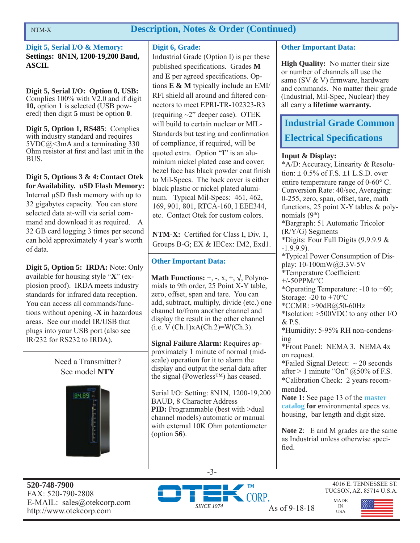## **Description, Notes & Order (Continued)**

**Digit 5, Serial I/O & Memory: Settings: 8N1N, 1200-19,200 Baud, ASCII.**

**Digit 5, Serial I/O: Option 0, USB:**  Complies  $100\%$  with  $\overline{V2.0}$  and if digit **10,** option **1** is selected (USB powered) then digit **5** must be option **0**.

**Digit 5, Option 1, RS485**: Complies with industry standard and requires  $5VDC@<3mA$  and a terminating 330 Ohm resistor at first and last unit in the BUS.

**Digit 5, Options 3 & 4: Contact Otek for Availability. uSD Flash Memory:**  Internal μSD flash memory with up to 32 gigabytes capacity. You can store selected data at-will via serial command and download it as required. A 32 GB card logging 3 times per second can hold approximately 4 year's worth of data.

**Digit 5, Option 5: IRDA:** Note: Only available for housing style "**X**" (explosion proof). IRDA meets industry standards for infrared data reception. You can access all commands/functions without opening **-X** in hazardous areas. See our model IR/USB that plugs into your USB port (also see IR/232 for RS232 to IRDA).

> Need a Transmitter? See model **NTY**



## **Digit 6, Grade:**

Industrial Grade (Option I) is per these published specifications. Grades M and **E** per agreed specifications. Options **E & M** typically include an EMI/ RFI shield all around and filtered connectors to meet EPRI-TR-102323-R3 (requiring  $\sim$ 2" deeper case). OTEK will build to certain nuclear or MIL-Standards but testing and confirmation of compliance, if required, will be quoted extra. Option "**I**" is an aluminium nickel plated case and cover; bezel face has black powder coat finish to Mil-Specs. The back cover is either black plastic or nickel plated aluminum. Typical Mil-Specs: 461, 462, 169, 901, 801, RTCA-160, I EEE344, etc. Contact Otek for custom colors.

**NTM-X:** Certified for Class I, Div. 1, Groups B-G; EX & IECex: IM2, Exd1.

## **Other Important Data:**

**Math Functions:**  $+$ ,  $-$ ,  $x$ ,  $\div$ ,  $\sqrt{}$ , Polynomials to 9th order, 25 Point X-Y table, zero, offset, span and tare. You can add, subtract, multiply, divide (etc.) one channel to/from another channel and display the result in the other channel  $(i.e. V (Ch.1)xA(Ch.2)=W(Ch.3).$ 

**Signal Failure Alarm:** Requires approximately 1 minute of normal (midscale) operation for it to alarm the display and output the serial data after the signal (Powerless™) has ceased.

Serial I/O: Setting: 8N1N, 1200-19,200 BAUD, 8 Character Address **PID:** Programmable (best with >dual channel models) automatic or manual with external 10K Ohm potentiometer (option **56**).

## **Other Important Data:**

**High Quality:** No matter their size or number of channels all use the same (SV  $&$  V) firmware, hardware and commands. No matter their grade (Industrial, Mil-Spec, Nuclear) they all carry a **lifetime warranty.**

## **Industrial Grade Common Electrical Specifications**

## **Input & Display:**

\*A/D: Accuracy, Linearity & Resolution:  $\pm$  0.5% of F.S.  $\pm$ 1 L.S.D. over entire temperature range of  $0\n-60^{\circ}$  C. Conversion Rate: 40/sec, Averaging: 0-255, zero, span, offset, tare, math functions, 25 point X-Y tables & polynomials  $(9<sup>th</sup>)$ \*Bargraph: 51 Automatic Tricolor (R/Y/G) Segments \*Digits: Four Full Digits (9.9.9.9 & -1.9.9.9). \*Typical Power Consumption of Display: 10-100mW@3.3V-5V \*Temperature Coefficient:  $+/-50$ PPM/°C \*Operating Temperature: -10 to +60; Storage: -20 to +70°C \*CCMR: >90dB@50-60Hz \*Isolation: >500VDC to any other I/O & P.S. \*Humidity: 5-95% RH non-condensing \*Front Panel: NEMA 3. NEMA 4x on request. \*Failed Signal Detect:  $\sim$  20 seconds after  $> 1$  minute "On" @50% of F.S. \*Calibration Check: 2 years recommended. **Note 1:** See page 13 of the **master catalog for e**nvironmental specs vs. housing, bar length and digit size.

**Note 2**: E and M grades are the same as Industrial unless otherwise specified.

> MADE IN USA

-3-

**520-748-7900** FAX: 520-790-2808 E-MAIL: sales@otekcorp.com http://www.otekcorp.com SINCE 1974 As of 9-18-18



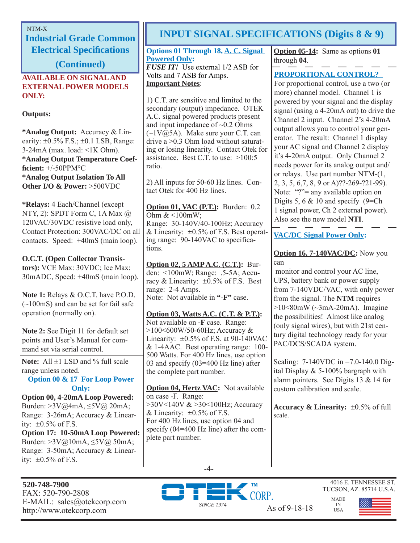**Industrial Grade Common Electrical Specifi cations** 

**(Continued)**

## **AVAILABLE ON SIGNAL AND EXTERNAL POWER MODELS ONLY:**

## **Outputs:**

**\*Analog Output:** Accuracy & Linearity:  $\pm 0.5\%$  F.S.;  $\pm 0.1$  LSB, Range: 3-24mA (max. load: <1K Ohm). **\*Analog Output Temperature Coeffi cient:** +/-50PPM°C **\*Analog Output Isolation To All Other I/O & Power:** >500VDC

**\*Relays:** 4 Each/Channel (except NTY, 2): SPDT Form C, 1A Max @ 120VAC/30VDC resistive load only, Contact Protection: 300VAC/DC on all contacts. Speed: +40mS (main loop).

## **O.C.T. (Open Collector Transis-**

**tors):** VCE Max: 30VDC; Ice Max: 30mADC, Speed: +40mS (main loop).

**Note 1:** Relays & O.C.T. have P.O.D.  $(-100\text{mS})$  and can be set for fail safe operation (normally on).

**Note 2:** See Digit 11 for default set points and User's Manual for command set via serial control.

**Note:** All ±1 LSD and % full scale range unless noted.

**Option 00 & 17 For Loop Power Only:**

**Option 00, 4-20mA Loop Powered:**  Burden: >3V@4mA, ≤5V@ 20mA; Range: 3-26mA; Accuracy & Linearity:  $\pm 0.5\%$  of F.S.

**Option 17: 10-50mA Loop Powered:**  Burden: >3V@10mA, ≤5V@ 50mA; Range: 3-50mA; Accuracy & Linearity:  $\pm 0.5\%$  of F.S.

## **520-748-7900** FAX: 520-790-2808 E-MAIL: sales@otekcorp.com http://www.otekcorp.com As of 9-18-18

# NTM-X **INPUT SIGNAL SPECIFICATIONS (Digits 8 & 9)**

## **Options 01 Through 18, A. C. Signal Powered Only:**

*FUSE IT!* Use external 1/2 ASB for Volts and 7 ASB for Amps. **Important Notes**:

1) C.T. are sensitive and limited to the secondary (output) impedance. OTEK A.C. signal powered products present and input impedance of  $\sim 0.2$  Ohms  $(\sim 1 \text{V}(\hat{\omega})$  SA). Make sure your C.T. can drive a >0.3 Ohm load without saturating or losing linearity. Contact Otek for assistance. Best C.T. to use: >100:5 ratio.

2) All inputs for 50-60 Hz lines. Contact Otek for 400 Hz lines.

**Option 01, VAC (P.T.):** Burden: 0.2 Ohm  $<100$ mW; Range: 30-140V/40-100Hz; Accuracy & Linearity:  $\pm 0.5\%$  of F.S. Best operating range: 90-140VAC to specifications.

**Option 02, 5 AMP A.C. (C.T.):** Burden: <100mW; Range: .5-5A; Accuracy  $& Linearity: \pm 0.5\% \text{ of } F.S.$  Best range: 2-4 Amps. Note: Not available in **"-F"** case.

**Option 03, Watts A.C. (C.T. & P.T.):** Not available on **-F** case. Range: >100<600W/50-60Hz; Accuracy & Linearity: ±0.5% of F.S. at 90-140VAC & 1-4AAC. Best operating range: 100- 500 Watts. For 400 Hz lines, use option 03 and specify (03=400 Hz line) after the complete part number.

**Option 04, Hertz VAC:** Not available on case -F. Range: >30V<140V & >30<100Hz; Accuracy & Linearity:  $\pm 0.5\%$  of F.S. For 400 Hz lines, use option 04 and specify (04=400 Hz line) after the complete part number.

**Option 05-14:** Same as options **01** through **04**.

## **PROPORTIONAL CONTROL?**

For proportional control, use a two (or more) channel model. Channel 1 is powered by your signal and the display signal (using a 4-20mA out) to drive the Channel 2 input. Channel 2's 4-20mA output allows you to control your generator. The result: Channel 1 display your AC signal and Channel 2 display it's 4-20mA output. Only Channel 2 needs power for its analog output and/ or relays. Use part number NTM-(1, 2, 3, 5, 6,7, 8, 9 or A)??-269-?21-99). Note: "?"= any available option on Digits 5, 6  $& 10$  and specify (9=Ch) 1 signal power, Ch 2 external power). Also see the new model **NTI**.

## **VAC/DC Signal Power Only:**

**Option 16, 7-140VAC/DC:** Now you can

 monitor and control your AC line, UPS, battery bank or power supply from 7-140VDC/VAC, with only power from the signal. The **NTM** requires  $>10<80$ mW ( $\sim$ 3mA-20mA). Imagine the possibilities! Almost like analog (only signal wires), but with 21st century digital technology ready for your PAC/DCS/SCADA system.

Scaling: 7-140VDC in =7.0-140.0 Digital Display & 5-100% bargraph with alarm pointers. See Digits 13 & 14 for custom calibration and scale.

**Accuracy & Linearity:**  $\pm 0.5\%$  of full scale.







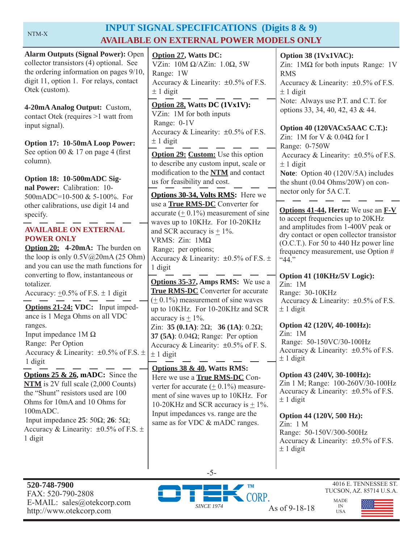## **INPUT SIGNAL SPECIFICATIONS (Digits 8 & 9) AVAILABLE ON EXTERNAL POWER MODELS ONLY**

| <b>Alarm Outputs (Signal Power): Open</b><br>collector transistors (4) optional. See<br>the ordering information on pages 9/10,<br>digit 11, option 1. For relays, contact<br>Otek (custom).                                                                                                                                                 | <b>Option 27, Watts DC:</b><br>VZin: $10M \Omega/AZ$ in: $1.0\Omega$ , 5W<br>Range: 1W<br>Accuracy & Linearity: $\pm 0.5\%$ of F.S.<br>$\pm$ 1 digit                                                                                                                                                                                          | Option 38 (1Vx1VAC):<br>Zin: $1\text{M}\Omega$ for both inputs Range: 1V<br><b>RMS</b><br>Accuracy & Linearity: $\pm 0.5\%$ of F.S.<br>$\pm$ 1 digit                                                                                                                  |
|----------------------------------------------------------------------------------------------------------------------------------------------------------------------------------------------------------------------------------------------------------------------------------------------------------------------------------------------|-----------------------------------------------------------------------------------------------------------------------------------------------------------------------------------------------------------------------------------------------------------------------------------------------------------------------------------------------|-----------------------------------------------------------------------------------------------------------------------------------------------------------------------------------------------------------------------------------------------------------------------|
| 4-20mA Analog Output: Custom,<br>contact Otek (requires >1 watt from<br>input signal).                                                                                                                                                                                                                                                       | Option 28, Watts DC (1Vx1V):<br>VZin: 1M for both inputs<br>Range: 0-1V<br>Accuracy & Linearity: ±0.5% of F.S.                                                                                                                                                                                                                                | Note: Always use P.T. and C.T. for<br>options 33, 34, 40, 42, 43 & 44.<br>Option 40 (120VACx5AAC C.T.):                                                                                                                                                               |
| Option 17: 10-50mA Loop Power:<br>See option 00 $& 17$ on page 4 (first<br>column).<br>Option 18: 10-500mADC Sig-<br>nal Power: Calibration: 10-                                                                                                                                                                                             | $\pm$ 1 digit<br><b>Option 29: Custom:</b> Use this option<br>to describe any custom input, scale or<br>modification to the NTM and contact<br>us for feasibility and cost.                                                                                                                                                                   | Zin: 1M for V $& 0.04\Omega$ for I<br>Range: 0-750W<br>Accuracy & Linearity: $\pm 0.5\%$ of F.S.<br>$\pm$ 1 digit<br>Note: Option 40 (120V/5A) includes<br>the shunt $(0.04 \text{ Ohms}/20W)$ on con-<br>nector only for 5A C.T.                                     |
| 500mADC=10-500 & 5-100%. For<br>other calibrations, use digit 14 and<br>specify.<br><b>AVAILABLE ON EXTERNAL</b><br><b>POWER ONLY</b><br>Option 20: 4-20mA: The burden on<br>the loop is only $0.5V@20mA(25 Ohm)$<br>and you can use the math functions for                                                                                  | <b>Options 30-34, Volts RMS:</b> Here we<br>use a True RMS-DC Converter for<br>accurate $(± 0.1%)$ measurement of sine<br>waves up to 10KHz. For 10-20KHz<br>and SCR accuracy is $\pm$ 1%.<br>VRMS: Zin: 1ΜΩ<br>Range; per options;<br>Accuracy & Linearity: $\pm 0.5\%$ of F.S. $\pm$<br>1 digit                                             | <b>Options 41-44, Hertz:</b> We use an <b>F-V</b><br>to accept frequencies up to 20KHz<br>and amplitudes from 1-400V peak or<br>dry contact or open collector transistor<br>$(O.C.T.)$ . For 50 to 440 Hz power line<br>frequency measurement, use Option #<br>``44." |
| converting to flow, instantaneous or<br>totalizer.<br>Accuracy: $\pm 0.5\%$ of F.S. $\pm$ 1 digit<br>Options 21-24: VDC: Input imped-<br>ance is 1 Mega Ohms on all VDC<br>ranges.<br>Input impedance $1M\Omega$<br>Range: Per Option                                                                                                        | <b>Options 35-37, Amps RMS:</b> We use a<br><b>True RMS-DC</b> Converter for accurate<br>$(± 0.1%)$ measurement of sine waves<br>up to 10KHz. For 10-20KHz and SCR<br>accuracy is $\pm$ 1%.<br>Zin: 35 (0.1A): $2\Omega$ ; 36 (1A): 0.2 $\Omega$ ;<br>37 (5A): $0.04\Omega$ ; Range: Per option<br>Accuracy & Linearity: $\pm 0.5\%$ of F. S. | Option 41 (10KHz/5V Logic):<br>Zin: 1M<br>Range: 30-10KHz<br>Accuracy & Linearity: $\pm 0.5\%$ of F.S.<br>$\pm$ 1 digit<br>Option 42 (120V, 40-100Hz):<br>Zin: 1M<br>Range: 50-150VC/30-100Hz                                                                         |
| Accuracy & Linearity: $\pm 0.5\%$ of F.S. $\pm$<br>1 digit<br><b>Options 25 &amp; 26, mADC:</b> Since the<br>$NTM$ is 2V full scale $(2,000$ Counts)<br>the "Shunt" resistors used are 100<br>Ohms for 10mA and 10 Ohms for<br>100mADC.<br>Input impedance $25:50\Omega$ ; $26:5\Omega$ ;<br>Accuracy & Linearity: $\pm 0.5\%$ of F.S. $\pm$ | $± 1$ digit<br><b>Options 38 &amp; 40, Watts RMS:</b><br>Here we use a <b>True RMS-DC</b> Con-<br>verter for accurate $(+ 0.1\%)$ measure-<br>ment of sine waves up to 10KHz. For<br>10-20KHz and SCR accuracy is $\pm$ 1%.<br>Input impedances vs. range are the<br>same as for VDC & mADC ranges.                                           | Accuracy & Linearity: $\pm 0.5\%$ of F.S.<br>$± 1$ digit<br>Option 43 (240V, 30-100Hz):<br>Zin 1 M; Range: 100-260V/30-100Hz<br>Accuracy & Linearity: $\pm 0.5\%$ of F.S.<br>$\pm$ 1 digit<br>Option 44 (120V, 500 Hz):<br>Zin: 1 M<br>Range: 50-150V/300-500Hz       |
| 1 digit                                                                                                                                                                                                                                                                                                                                      |                                                                                                                                                                                                                                                                                                                                               | Accuracy & Linearity: $\pm 0.5\%$ of F.S.<br>$\pm$ 1 digit                                                                                                                                                                                                            |



-5-



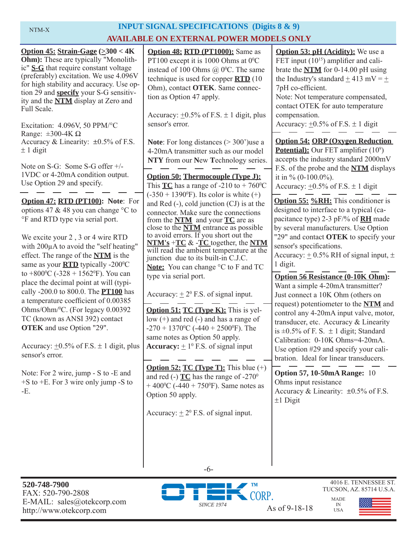## NTM-X **INPUT SIGNAL SPECIFICATIONS (Digits 8 & 9) AVAILABLE ON EXTERNAL POWER MODELS ONLY**

| Option 45: Strain-Gage $(\geq 300 < 4K$<br><b>Ohm</b> ): These are typically "Monolith-<br>ic" $S-G$ that require constant voltage<br>(preferably) excitation. We use 4.096V<br>for high stability and accuracy. Use op-<br>tion 29 and <b>specify</b> your S-G sensitiv-<br>ity and the <b>NTM</b> display at Zero and<br>Full Scale.<br>Excitation: 4.096V, 50 PPM/°C<br>Range: $\pm 300 - 4K \Omega$<br>Accuracy & Linearity: $\pm 0.5\%$ of F.S.<br>$± 1$ digit<br>Note on S-G: Some S-G offer +/- | <b>Option 48: RTD (PT1000):</b> Same as<br>PT100 except it is 1000 Ohms at $0^{\circ}$ C<br>instead of 100 Ohms $(a)$ 0°C. The same<br>technique is used for copper $\overline{RTD}$ (10<br>Ohm), contact OTEK. Same connec-<br>tion as Option 47 apply.<br>Accuracy: $\pm 0.5\%$ of F.S. $\pm 1$ digit, plus<br>sensor's error.<br><b>Note:</b> For long distances $(>300)$ use a<br>4-20mA transmitter such as our model<br>NTY from our New Technology series. | <b>Option 53: pH (Acidity):</b> We use a<br>FET input $(10^{15})$ amplifier and cali-<br>brate the $NTM$ for 0-14.00 pH using<br>the Industry's standard $\pm$ 413 mV = $\pm$<br>7pH co-efficient.<br>Note: Not temperature compensated,<br>contact OTEK for auto temperature<br>compensation.<br>Accuracy: $\pm 0.5\%$ of F.S. $\pm 1$ digit<br><b>Option 54: ORP (Oxygen Reduction)</b><br><b>Potential):</b> Our FET amplifier (10 <sup>9</sup> )<br>accepts the industry standard 2000mV |
|--------------------------------------------------------------------------------------------------------------------------------------------------------------------------------------------------------------------------------------------------------------------------------------------------------------------------------------------------------------------------------------------------------------------------------------------------------------------------------------------------------|-------------------------------------------------------------------------------------------------------------------------------------------------------------------------------------------------------------------------------------------------------------------------------------------------------------------------------------------------------------------------------------------------------------------------------------------------------------------|----------------------------------------------------------------------------------------------------------------------------------------------------------------------------------------------------------------------------------------------------------------------------------------------------------------------------------------------------------------------------------------------------------------------------------------------------------------------------------------------|
| 1VDC or 4-20mA condition output.<br>Use Option 29 and specify.                                                                                                                                                                                                                                                                                                                                                                                                                                         | <b>Option 50: Thermocouple (Type J):</b><br>This <b>TC</b> has a range of -210 to + 760 <sup>o</sup> C<br>$(-350 + 1390^{\circ}F)$ . Its color is white $(+)$                                                                                                                                                                                                                                                                                                     | F.S. of the probe and the <b>NTM</b> displays<br>it in % $(0-100.0\%)$ .<br>Accuracy: $\pm 0.5\%$ of F.S. $\pm$ 1 digit                                                                                                                                                                                                                                                                                                                                                                      |
| Option 47: RTD (PT100): Note: For<br>options 47 & 48 you can change °C to<br>°F and RTD type via serial port.<br>We excite your 2, 3 or 4 wire RTD                                                                                                                                                                                                                                                                                                                                                     | and Red $(-)$ , cold junction $(CJ)$ is at the<br>connector. Make sure the connections<br>from the <b>NTM</b> and your <b>TC</b> are as<br>close to the <b>NTM</b> entrance as possible<br>to avoid errors. If you short out the                                                                                                                                                                                                                                  | <b>Option 55: %RH:</b> This conditioner is<br>designed to interface to a typical (ca-<br>pacitance type) 2-3 pF/% of <b>RH</b> made<br>by several manufacturers. Use Option<br>"29" and contact OTEK to specify your<br>sensor's specifications.<br>Accuracy: $\pm$ 0.5% RH of signal input, $\pm$<br>1 digit.<br><b>Option 56 Resistance (0-10K Ohm):</b>                                                                                                                                   |
| with 200µA to avoid the "self heating"<br>effect. The range of the <b>NTM</b> is the<br>same as your $\overline{RTD}$ typically -200 $\degree$ C<br>to +800 <sup>o</sup> C (-328 + 1562 <sup>o</sup> F). You can                                                                                                                                                                                                                                                                                       | $NTM's + TC & FC$ together, the NTM<br>will read the ambient temperature at the<br>junction due to its built-in C.J.C.<br><b>Note:</b> You can change °C to F and TC<br>type via serial port.                                                                                                                                                                                                                                                                     |                                                                                                                                                                                                                                                                                                                                                                                                                                                                                              |
| place the decimal point at will (typi-<br>cally -200.0 to 800.0. The <b>PT100</b> has<br>a temperature coefficient of 0.00385<br>Ohms/Ohm/ <sup>0</sup> C. (For legacy 0.00392                                                                                                                                                                                                                                                                                                                         | Accuracy: $\pm 2^0$ F.S. of signal input.<br><b>Option 51: TC (Type K):</b> This is yel-                                                                                                                                                                                                                                                                                                                                                                          | Want a simple 4-20mA transmitter?<br>Just connect a 10K Ohm (others on<br>request) potentiometer to the NTM and<br>control any 4-20mA input valve, motor,                                                                                                                                                                                                                                                                                                                                    |
| TC (known as ANSI 392) contact<br><b>OTEK</b> and use Option "29".<br>Accuracy: $\pm 0.5\%$ of F.S. $\pm$ 1 digit, plus                                                                                                                                                                                                                                                                                                                                                                                | low $(+)$ and red $(-)$ and has a range of<br>$-270 + 1370$ <sup>o</sup> C ( $-440 + 2500$ <sup>o</sup> F). The<br>same notes as Option 50 apply.<br><b>Accuracy:</b> $\pm 1^0$ F.S. of signal input                                                                                                                                                                                                                                                              | transducer, etc. Accuracy & Linearity<br>is $\pm 0.5\%$ of F. S. $\pm 1$ digit; Standard<br>Calibration: 0-10K Ohms=4-20mA.<br>Use option #29 and specify your cali-                                                                                                                                                                                                                                                                                                                         |
| sensor's error.                                                                                                                                                                                                                                                                                                                                                                                                                                                                                        |                                                                                                                                                                                                                                                                                                                                                                                                                                                                   | bration. Ideal for linear transducers.                                                                                                                                                                                                                                                                                                                                                                                                                                                       |
| Note: For 2 wire, jump - S to -E and<br>$+$ S to $+$ E. For 3 wire only jump -S to<br>-E.                                                                                                                                                                                                                                                                                                                                                                                                              | <b>Option 52: TC (Type T):</b> This blue $(+)$<br>and red (-) $TC$ has the range of -270 <sup>0</sup><br>+ 400 <sup>o</sup> C (-440 + 750 <sup>o</sup> F). Same notes as<br>Option 50 apply.                                                                                                                                                                                                                                                                      | <b>Option 57, 10-50mA Range: 10</b><br>Ohms input resistance<br>Accuracy & Linearity: ±0.5% of F.S.<br>$±1$ Digit                                                                                                                                                                                                                                                                                                                                                                            |
|                                                                                                                                                                                                                                                                                                                                                                                                                                                                                                        | Accuracy: $\pm 2^0$ F.S. of signal input.<br>$-6-$                                                                                                                                                                                                                                                                                                                                                                                                                |                                                                                                                                                                                                                                                                                                                                                                                                                                                                                              |

**520-748-7900** FAX: 520-790-2808 E-MAIL: sales@otekcorp.com http://www.otekcorp.com As of 9-18-18





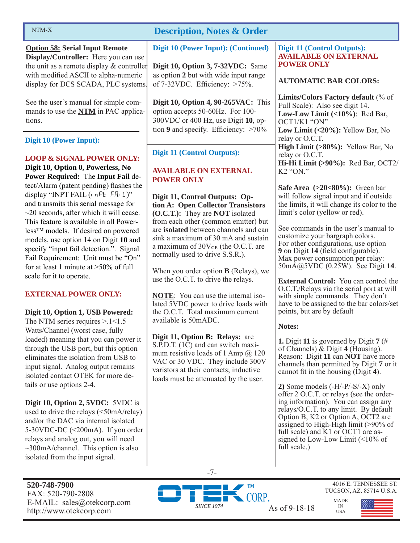#### NTM-X

**Option 58: Serial Input Remote Display/Controller:** Here you can use the unit as a remote display & controller with modified ASCII to alpha-numeric display for DCS SCADA, PLC systems.

See the user's manual for simple commands to use the **NTM** in PAC applications.

**Digit 10 (Power Input):** 

## **LOOP & SIGNAL POWER ONLY:**

**Digit 10, Option 0, Powerless, No Power Required:** The **Input Fail** detect/Alarm (patent pending) flashes the display "INPT FAIL  $($ ,  $nPE$ ,  $F$  $H$ ,  $L$  $)'$ " and transmits this serial message for  $\sim$ 20 seconds, after which it will cease. This feature is available in all Powerless™ models. If desired on powered models, use option 14 on Digit **10** and specify "input fail detection.". Signal Fail Requirement: Unit must be "On" for at least 1 minute at >50% of full scale for it to operate.

## **EXTERNAL POWER ONLY:**

**Digit 10, Option 1, USB Powered:** 

The NTM series requires  $> 1 < 1.5$ Watts/Channel (worst case, fully loaded) meaning that you can power it through the USB port, but this option eliminates the isolation from USB to input signal. Analog output remains isolated contact OTEK for more details or use options 2-4.

**Digit 10, Option 2, 5VDC:** 5VDC is used to drive the relays (<50mA/relay) and/or the DAC via internal isolated 5-30VDC-DC (<200mA). If you order relays and analog out, you will need  $\sim$ 300mA/channel. This option is also isolated from the input signal.

**520-748-7900** FAX: 520-790-2808 E-MAIL: sales@otekcorp.com http://www.otekcorp.com SINCE 1974 As of 9-18-18

## **Description, Notes & Order**

**Digit 10 (Power Input): (Continued)**

**Digit 10, Option 3, 7-32VDC:** Same as option **2** but with wide input range of 7-32VDC. Efficiency: >75%.

**Digit 10, Option 4, 90-265VAC:** This option accepts 50-60Hz. For 100- 300VDC or 400 Hz, use Digit **10**, option  $9$  and specify. Efficiency:  $>70\%$ 

## **Digit 11 (Control Outputs):**

### **AVAILABLE ON EXTERNAL POWER ONLY**

**Digit 11, Control Outputs: Option A: Open Collector Transistors (O.C.T.):** They are **NOT** isolated from each other (common emitter) but are **isolated** between channels and can sink a maximum of 30 mA and sustain a maximum of  $30V<sub>CE</sub>$  (the O.C.T. are normally used to drive S.S.R.).

When you order option **B** (Relays), we use the O.C.T. to drive the relays.

**NOTE**: You can use the internal isolated 5VDC power to drive loads with the O.C.T. Total maximum current available is 50mADC.

**Digit 11, Option B: Relays:** are S.P.D.T. (1C) and can switch maximum resistive loads of 1 Amp  $\omega$  120 VAC or 30 VDC. They include 300V varistors at their contacts; inductive loads must be attenuated by the user.

### **Digit 11 (Control Outputs): AVAILABLE ON EXTERNAL POWER ONLY**

## **AUTOMATIC BAR COLORS:**

**Limits/Colors Factory default** (% of Full Scale): Also see digit 14. **Low-Low Limit (<10%)**: Red Bar, OCT1/K1 "ON" **Low Limit (<20%):** Yellow Bar, No relay or O.C.T. **High Limit (>80%):** Yellow Bar, No relay or O.C.T. **Hi-Hi Limit (>90%):** Red Bar, OCT2/ K2 "ON."

**Safe Area (>20<80%):** Green bar will follow signal input and if outside the limits, it will change its color to the limit's color (yellow or red).

See commands in the user's manual to customize your bargraph colors. For other configurations, use option **9** on Digit **14** (field configurable). Max power consumption per relay: 50mA@5VDC (0.25W). See Digit **14**.

**External Control:** You can control the O.C.T./Relays via the serial port at will with simple commands. They don't have to be assigned to the bar colors/set points, but are by default

#### **Notes:**

**1.** Digit **11** is governed by Digit **7** (# of Channels) & Digit **4** (Housing). Reason: Digit **11** can **NOT** have more channels than permitted by Digit **7** or it cannot fit in the housing  $(Digit 4)$ .

**2)** Some models (-H/-P/-S/-X) only offer 2 O.C.T. or relays (see the ordering information). You can assign any relays/O.C.T. to any limit. By default Option B, K2 or Option A, OCT2 are assigned to High-High limit (>90% of full scale) and K1 or OCT1 are assigned to Low-Low Limit (<10% of full scale.)

> MADE IN USA

-7-



4016 E. TENNESSEE ST. TUCSON, AZ. 85714 U.S.A.

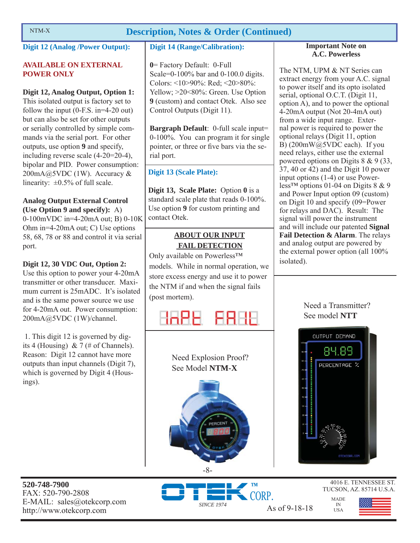## NTM-X **Description, Notes & Order (Continued)**

## **Digit 12 (Analog /Power Output):**

## **AVAILABLE ON EXTERNAL POWER ONLY**

## **Digit 12, Analog Output, Option 1:**

This isolated output is factory set to follow the input (0-F.S. in=4-20 out) but can also be set for other outputs or serially controlled by simple commands via the serial port. For other outputs, use option **9** and specify, including reverse scale (4-20=20-4), bipolar and PID. Power consumption: 200mA@5VDC (1W). Accuracy & linearity:  $\pm 0.5\%$  of full scale.

## **Analog Output External Control (Use Option 9 and specify):** A)

0-100mVDC in=4-20mA out; B) 0-10K Ohm in=4-20mA out; C) Use options 58, 68, 78 or 88 and control it via serial port.

## **Digit 12, 30 VDC Out, Option 2:**

Use this option to power your 4-20mA transmitter or other transducer. Maximum current is 25mADC. It's isolated and is the same power source we use for 4-20mA out. Power consumption: 200mA@5VDC (1W)/channel.

 1. This digit 12 is governed by digits 4 (Housing) & 7 (# of Channels). Reason: Digit 12 cannot have more outputs than input channels (Digit 7), which is governed by Digit 4 (Housings).

## **Digit 14 (Range/Calibration):**

**0**= Factory Default: 0-Full Scale=0-100% bar and 0-100.0 digits. Colors: <10>90%: Red; <20>80%: Yellow: >20<80%: Green. Use Option **9** (custom) and contact Otek. Also see Control Outputs (Digit 11).

**Bargraph Default**: 0-full scale input= 0-100%. You can program it for single pointer, or three or five bars via the serial port.

## **Digit 13 (Scale Plate):**

**Digit 13, Scale Plate:** Option **0** is a standard scale plate that reads 0-100%. Use option **9** for custom printing and contact Otek.

## **ABOUT OUR INPUT FAIL DETECTION**

Only available on Powerless™ models. While in normal operation, we store excess energy and use it to power the NTM if and when the signal fails (post mortem).



Need Explosion Proof? See Model **NTM-X**

#### **Important Note on A.C. Powerless**

The NTM, UPM & NT Series can extract energy from your A.C. signal to power itself and its opto isolated serial, optional O.C.T. (Digit 11, option A), and to power the optional 4-20mA output (Not 20-4mA out) from a wide input range. External power is required to power the optional relays (Digit 11, option B) (200mW@5VDC each). If you need relays, either use the external powered options on Digits 8 & 9 (33, 37, 40 or 42) and the Digit 10 power input options (1-4) or use Powerless<sup>™</sup> options 01-04 on Digits  $8 \& 9$ and Power Input option 09 (custom) on Digit 10 and specify (09=Power for relays and DAC). Result: The signal will power the instrument and will include our patented **Signal Fail Detection & Alarm**. The relays and analog output are powered by the external power option (all 100% isolated).

## Need a Transmitter? See model **NTT**



MADE IN USA

**520-748-7900** FAX: 520-790-2808 E-MAIL: sales@otekcorp.com



 $\overline{8}$ 

4016 E. TENNESSEE ST. TUCSON, AZ. 85714 U.S.A.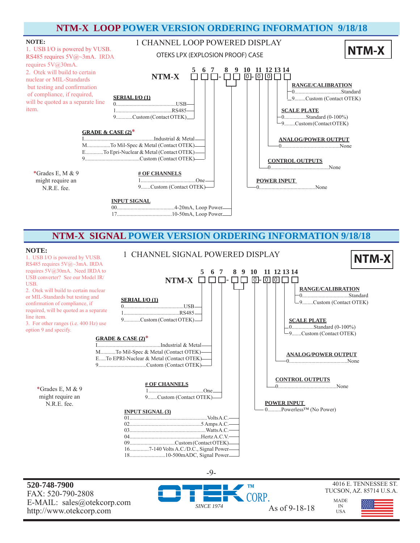

## **NTM-X SIGNAL POWER VERSION ORDERING INFORMATION 9/18/18**

#### **NOTE:**



**520-748-7900** FAX: 520-790-2808 E-MAIL: sales@otekcorp.com http://www.otekcorp.com SINCE 1974 As of 9-18-18

*SINCE 1974*

-9-

4016 E. TENNESSEE ST. TUCSON, AZ. 85714 U.S.A.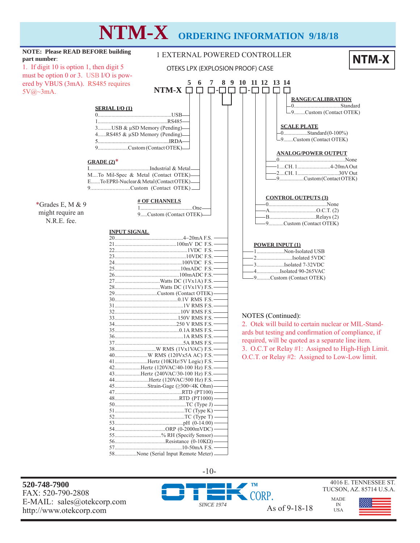# **NTM-X ORDERING INFORMATION 9/18/18**



http://www.otekcorp.com As of 9-18-18

USA